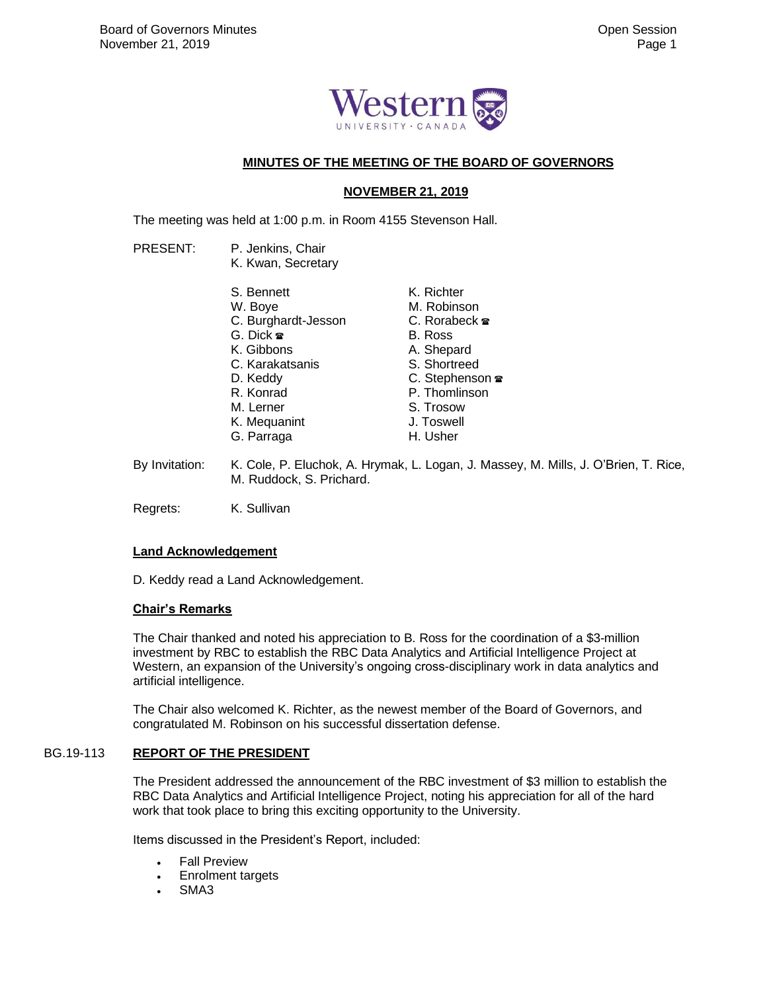

## **MINUTES OF THE MEETING OF THE BOARD OF GOVERNORS**

# **NOVEMBER 21, 2019**

The meeting was held at 1:00 p.m. in Room 4155 Stevenson Hall.

PRESENT: P. Jenkins, Chair K. Kwan, Secretary S. Bennett W. Boye C. Burghardt-Jesson G. Dick K. Gibbons C. Karakatsanis D. Keddy R. Konrad M. Lerner K. Mequanint G. Parraga K. Richter M. Robinson C. Rorabeck **<sub>■</sub>** B. Ross A. Shepard S. Shortreed C. Stephenson <sup>■</sup> P. Thomlinson S. Trosow J. Toswell H. Usher

By Invitation: K. Cole, P. Eluchok, A. Hrymak, L. Logan, J. Massey, M. Mills, J. O'Brien, T. Rice, M. Ruddock, S. Prichard.

Regrets: K. Sullivan

## **Land Acknowledgement**

D. Keddy read a Land Acknowledgement.

## **Chair's Remarks**

The Chair thanked and noted his appreciation to B. Ross for the coordination of a \$3-million investment by RBC to establish the RBC Data Analytics and Artificial Intelligence Project at Western, an expansion of the University's ongoing cross-disciplinary work in data analytics and artificial intelligence.

The Chair also welcomed K. Richter, as the newest member of the Board of Governors, and congratulated M. Robinson on his successful dissertation defense.

## BG.19-113 **REPORT OF THE PRESIDENT**

The President addressed the announcement of the RBC investment of \$3 million to establish the RBC Data Analytics and Artificial Intelligence Project, noting his appreciation for all of the hard work that took place to bring this exciting opportunity to the University.

Items discussed in the President's Report, included:

- **Fall Preview**
- Enrolment targets
- SMA<sub>3</sub>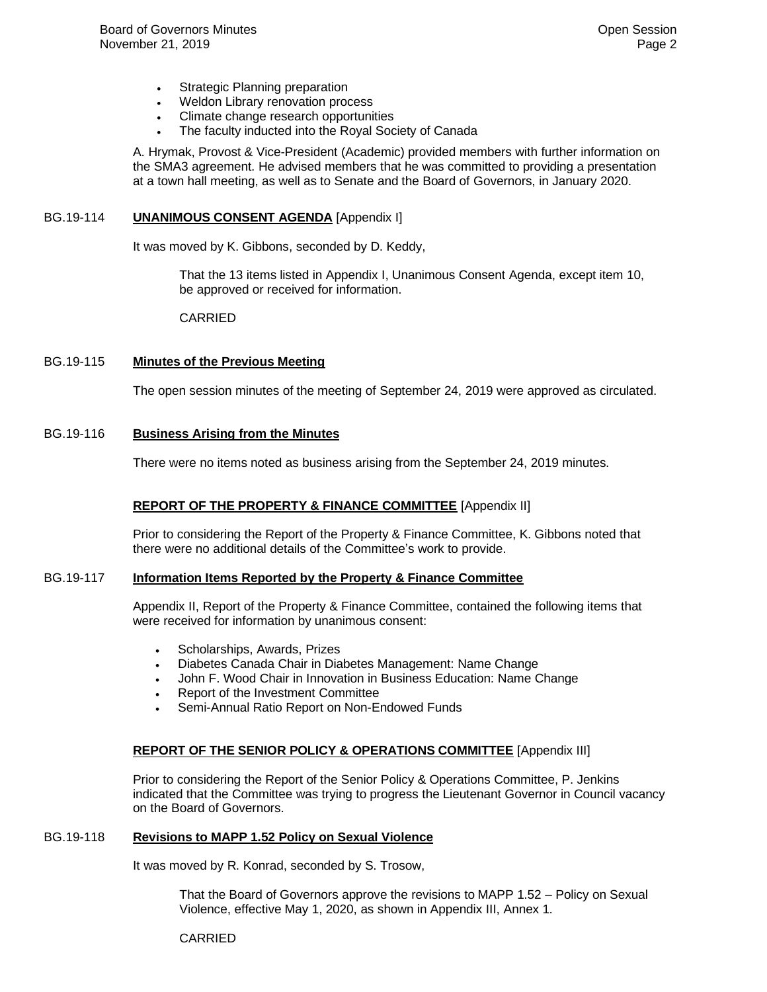- Strategic Planning preparation
- Weldon Library renovation process
- Climate change research opportunities
- The faculty inducted into the Royal Society of Canada

A. Hrymak, Provost & Vice-President (Academic) provided members with further information on the SMA3 agreement. He advised members that he was committed to providing a presentation at a town hall meeting, as well as to Senate and the Board of Governors, in January 2020.

#### BG.19-114 **UNANIMOUS CONSENT AGENDA** [Appendix I]

It was moved by K. Gibbons, seconded by D. Keddy,

That the 13 items listed in Appendix I, Unanimous Consent Agenda, except item 10, be approved or received for information.

CARRIED

#### BG.19-115 **Minutes of the Previous Meeting**

The open session minutes of the meeting of September 24, 2019 were approved as circulated.

#### BG.19-116 **Business Arising from the Minutes**

There were no items noted as business arising from the September 24, 2019 minutes.

## **REPORT OF THE PROPERTY & FINANCE COMMITTEE** [Appendix II]

Prior to considering the Report of the Property & Finance Committee, K. Gibbons noted that there were no additional details of the Committee's work to provide.

#### BG.19-117 **Information Items Reported by the Property & Finance Committee**

Appendix II, Report of the Property & Finance Committee, contained the following items that were received for information by unanimous consent:

- Scholarships, Awards, Prizes
- Diabetes Canada Chair in Diabetes Management: Name Change
- John F. Wood Chair in Innovation in Business Education: Name Change
- Report of the Investment Committee
- Semi-Annual Ratio Report on Non-Endowed Funds

## **REPORT OF THE SENIOR POLICY & OPERATIONS COMMITTEE** [Appendix III]

Prior to considering the Report of the Senior Policy & Operations Committee, P. Jenkins indicated that the Committee was trying to progress the Lieutenant Governor in Council vacancy on the Board of Governors.

#### BG.19-118 **Revisions to MAPP 1.52 Policy on Sexual Violence**

It was moved by R. Konrad, seconded by S. Trosow,

That the Board of Governors approve the revisions to MAPP 1.52 – Policy on Sexual Violence, effective May 1, 2020, as shown in Appendix III, Annex 1.

CARRIED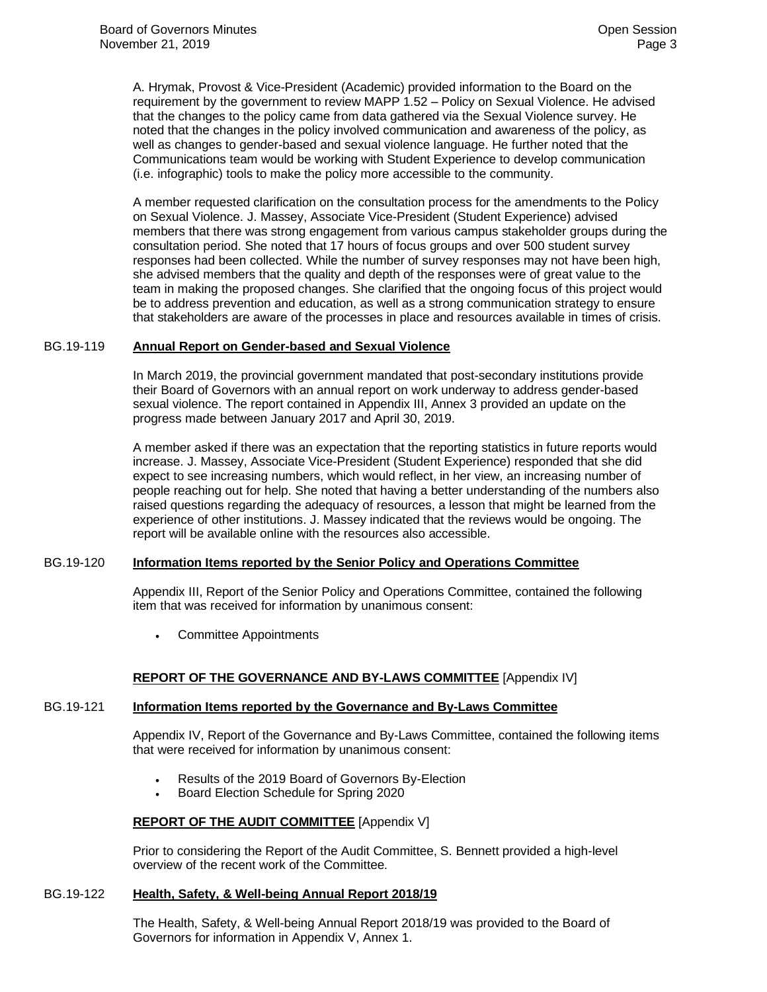A. Hrymak, Provost & Vice-President (Academic) provided information to the Board on the requirement by the government to review MAPP 1.52 – Policy on Sexual Violence. He advised that the changes to the policy came from data gathered via the Sexual Violence survey. He noted that the changes in the policy involved communication and awareness of the policy, as well as changes to gender-based and sexual violence language. He further noted that the Communications team would be working with Student Experience to develop communication (i.e. infographic) tools to make the policy more accessible to the community.

A member requested clarification on the consultation process for the amendments to the Policy on Sexual Violence. J. Massey, Associate Vice-President (Student Experience) advised members that there was strong engagement from various campus stakeholder groups during the consultation period. She noted that 17 hours of focus groups and over 500 student survey responses had been collected. While the number of survey responses may not have been high, she advised members that the quality and depth of the responses were of great value to the team in making the proposed changes. She clarified that the ongoing focus of this project would be to address prevention and education, as well as a strong communication strategy to ensure that stakeholders are aware of the processes in place and resources available in times of crisis.

#### BG.19-119 **Annual Report on Gender-based and Sexual Violence**

In March 2019, the provincial government mandated that post-secondary institutions provide their Board of Governors with an annual report on work underway to address gender-based sexual violence. The report contained in Appendix III, Annex 3 provided an update on the progress made between January 2017 and April 30, 2019.

A member asked if there was an expectation that the reporting statistics in future reports would increase. J. Massey, Associate Vice-President (Student Experience) responded that she did expect to see increasing numbers, which would reflect, in her view, an increasing number of people reaching out for help. She noted that having a better understanding of the numbers also raised questions regarding the adequacy of resources, a lesson that might be learned from the experience of other institutions. J. Massey indicated that the reviews would be ongoing. The report will be available online with the resources also accessible.

## BG.19-120 **Information Items reported by the Senior Policy and Operations Committee**

Appendix III, Report of the Senior Policy and Operations Committee, contained the following item that was received for information by unanimous consent:

• Committee Appointments

## **REPORT OF THE GOVERNANCE AND BY-LAWS COMMITTEE** [Appendix IV]

## BG.19-121 **Information Items reported by the Governance and By-Laws Committee**

Appendix IV, Report of the Governance and By-Laws Committee, contained the following items that were received for information by unanimous consent:

- Results of the 2019 Board of Governors By-Election
- Board Election Schedule for Spring 2020

## **REPORT OF THE AUDIT COMMITTEE** [Appendix V]

Prior to considering the Report of the Audit Committee, S. Bennett provided a high-level overview of the recent work of the Committee.

#### BG.19-122 **Health, Safety, & Well-being Annual Report 2018/19**

The Health, Safety, & Well-being Annual Report 2018/19 was provided to the Board of Governors for information in Appendix V, Annex 1.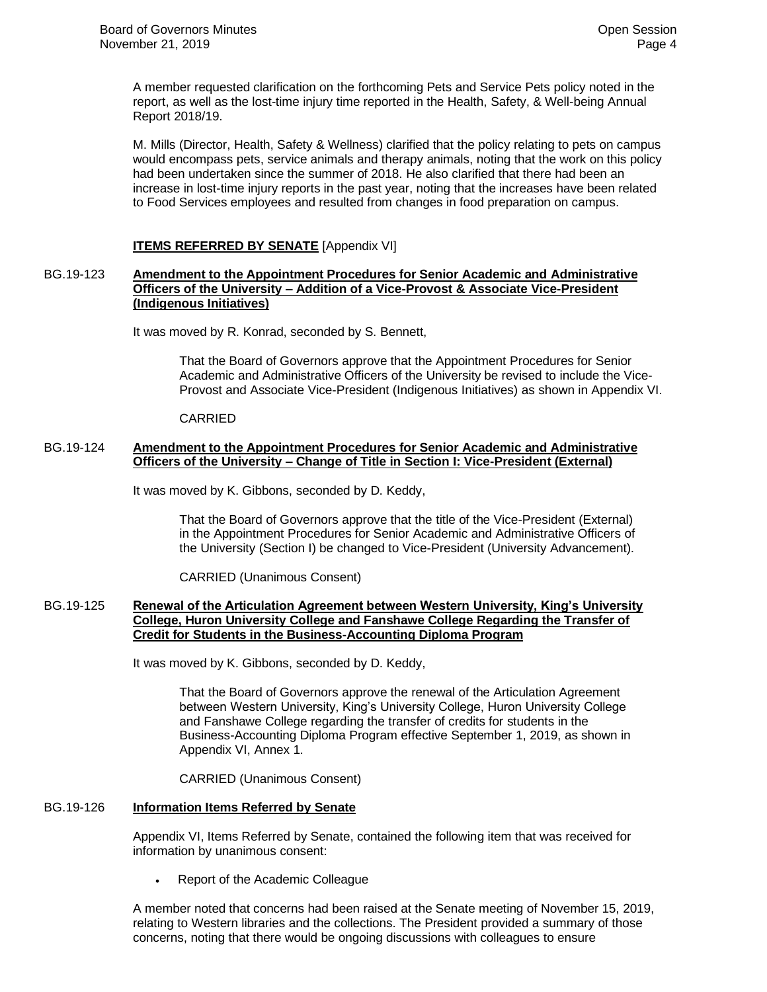A member requested clarification on the forthcoming Pets and Service Pets policy noted in the report, as well as the lost-time injury time reported in the Health, Safety, & Well-being Annual Report 2018/19.

M. Mills (Director, Health, Safety & Wellness) clarified that the policy relating to pets on campus would encompass pets, service animals and therapy animals, noting that the work on this policy had been undertaken since the summer of 2018. He also clarified that there had been an increase in lost-time injury reports in the past year, noting that the increases have been related to Food Services employees and resulted from changes in food preparation on campus.

## **ITEMS REFERRED BY SENATE** [Appendix VI]

#### BG.19-123 **Amendment to the Appointment Procedures for Senior Academic and Administrative Officers of the University – Addition of a Vice-Provost & Associate Vice-President (Indigenous Initiatives)**

It was moved by R. Konrad, seconded by S. Bennett,

That the Board of Governors approve that the Appointment Procedures for Senior Academic and Administrative Officers of the University be revised to include the Vice-Provost and Associate Vice-President (Indigenous Initiatives) as shown in Appendix VI.

#### CARRIED

## BG.19-124 **Amendment to the Appointment Procedures for Senior Academic and Administrative Officers of the University – Change of Title in Section I: Vice-President (External)**

It was moved by K. Gibbons, seconded by D. Keddy,

That the Board of Governors approve that the title of the Vice-President (External) in the Appointment Procedures for Senior Academic and Administrative Officers of the University (Section I) be changed to Vice-President (University Advancement).

CARRIED (Unanimous Consent)

#### BG.19-125 **Renewal of the Articulation Agreement between Western University, King's University College, Huron University College and Fanshawe College Regarding the Transfer of Credit for Students in the Business-Accounting Diploma Program**

It was moved by K. Gibbons, seconded by D. Keddy,

That the Board of Governors approve the renewal of the Articulation Agreement between Western University, King's University College, Huron University College and Fanshawe College regarding the transfer of credits for students in the Business-Accounting Diploma Program effective September 1, 2019, as shown in Appendix VI, Annex 1.

CARRIED (Unanimous Consent)

## BG.19-126 **Information Items Referred by Senate**

Appendix VI, Items Referred by Senate, contained the following item that was received for information by unanimous consent:

• Report of the Academic Colleague

A member noted that concerns had been raised at the Senate meeting of November 15, 2019, relating to Western libraries and the collections. The President provided a summary of those concerns, noting that there would be ongoing discussions with colleagues to ensure